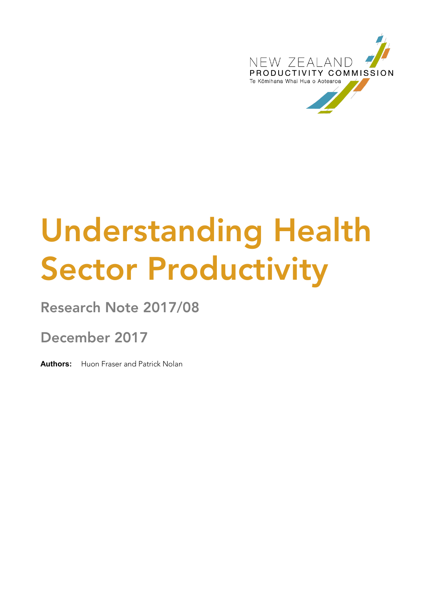

# **Understanding Health Sector Productivity**

**Research Note 2017/08**

**December 2017**

**Authors:** Huon Fraser and Patrick Nolan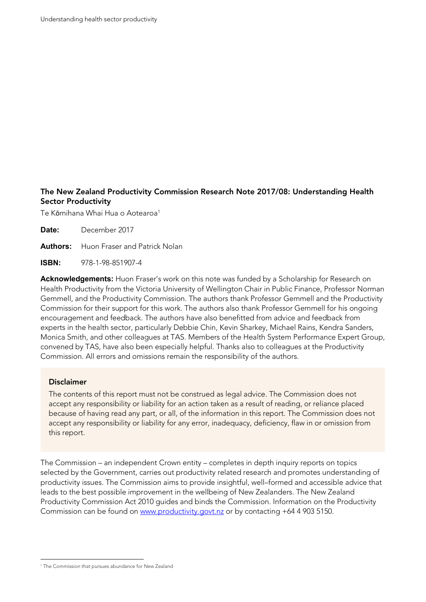### **The New Zealand Productivity Commission Research Note 2017/08: Understanding Health Sector Productivity**

Te Kōmihana Whai Hua o Aotearoa<sup>1</sup>

**Date:** December 2017

**Authors:** Huon Fraser and Patrick Nolan

**ISBN:** 978-1-98-851907-4

**Acknowledgements:** Huon Fraser's work on this note was funded by a Scholarship for Research on Health Productivity from the Victoria University of Wellington Chair in Public Finance, Professor Norman Gemmell, and the Productivity Commission. The authors thank Professor Gemmell and the Productivity Commission for their support for this work. The authors also thank Professor Gemmell for his ongoing encouragement and feedback. The authors have also benefitted from advice and feedback from experts in the health sector, particularly Debbie Chin, Kevin Sharkey, Michael Rains, Kendra Sanders, Monica Smith, and other colleagues at TAS. Members of the Health System Performance Expert Group, convened by TAS, have also been especially helpful. Thanks also to colleagues at the Productivity Commission. All errors and omissions remain the responsibility of the authors.

#### **Disclaimer**

The contents of this report must not be construed as legal advice. The Commission does not accept any responsibility or liability for an action taken as a result of reading, or reliance placed because of having read any part, or all, of the information in this report. The Commission does not accept any responsibility or liability for any error, inadequacy, deficiency, flaw in or omission from this report.

The Commission – an independent Crown entity – completes in depth inquiry reports on topics selected by the Government, carries out productivity related research and promotes understanding of productivity issues. The Commission aims to provide insightful, well–formed and accessible advice that leads to the best possible improvement in the wellbeing of New Zealanders. The New Zealand Productivity Commission Act 2010 guides and binds the Commission. Information on the Productivity Commission can be found on [www.productivity.govt.nz](http://www.productivity.govt.nz/) or by contacting +64 4 903 5150.

<sup>-</sup><sup>1</sup> The Commission that pursues abundance for New Zealand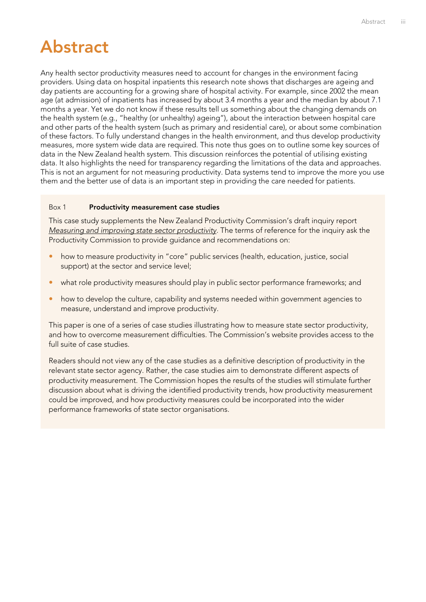# **Abstract**

Any health sector productivity measures need to account for changes in the environment facing providers. Using data on hospital inpatients this research note shows that discharges are ageing and day patients are accounting for a growing share of hospital activity. For example, since 2002 the mean age (at admission) of inpatients has increased by about 3.4 months a year and the median by about 7.1 months a year. Yet we do not know if these results tell us something about the changing demands on the health system (e.g., "healthy (or unhealthy) ageing"), about the interaction between hospital care and other parts of the health system (such as primary and residential care), or about some combination of these factors. To fully understand changes in the health environment, and thus develop productivity measures, more system wide data are required. This note thus goes on to outline some key sources of data in the New Zealand health system. This discussion reinforces the potential of utilising existing data. It also highlights the need for transparency regarding the limitations of the data and approaches. This is not an argument for not measuring productivity. Data systems tend to improve the more you use them and the better use of data is an important step in providing the care needed for patients.

#### Box 1 **Productivity measurement case studies**

This case study supplements the New Zealand Productivity Commission's draft inquiry report *Measuring and improving state sector productivity.* The terms of reference for the inquiry ask the Productivity Commission to provide guidance and recommendations on:

- how to measure productivity in "core" public services (health, education, justice, social support) at the sector and service level;
- what role productivity measures should play in public sector performance frameworks; and
- how to develop the culture, capability and systems needed within government agencies to measure, understand and improve productivity.

This paper is one of a series of case studies illustrating how to measure state sector productivity, and how to overcome measurement difficulties. The Commission's website provides access to the full suite of case studies.

Readers should not view any of the case studies as a definitive description of productivity in the relevant state sector agency. Rather, the case studies aim to demonstrate different aspects of productivity measurement. The Commission hopes the results of the studies will stimulate further discussion about what is driving the identified productivity trends, how productivity measurement could be improved, and how productivity measures could be incorporated into the wider performance frameworks of state sector organisations.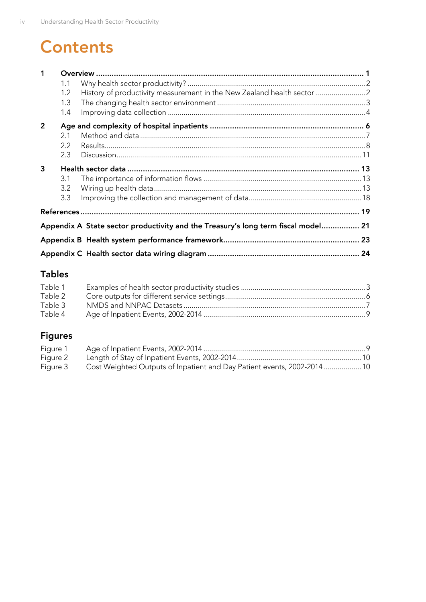# **Contents**

| 1            | 1.1<br>1.2<br>1.3<br>1.4 | History of productivity measurement in the New Zealand health sector 2            |  |
|--------------|--------------------------|-----------------------------------------------------------------------------------|--|
| $\mathbf{2}$ | 21<br>2.2<br>2.3         |                                                                                   |  |
| 3            | 3.1<br>3.2<br>3.3        |                                                                                   |  |
|              |                          |                                                                                   |  |
|              |                          | Appendix A State sector productivity and the Treasury's long term fiscal model 21 |  |
|              |                          |                                                                                   |  |
|              | 24                       |                                                                                   |  |

# **Tables**

| Table 2<br>Table 3 | Table 1 |  |
|--------------------|---------|--|
|                    |         |  |
|                    |         |  |
| Table 4            |         |  |

# **Figures**

| Figure 1 |                                                                          |  |
|----------|--------------------------------------------------------------------------|--|
| Figure 2 |                                                                          |  |
| Figure 3 | Cost Weighted Outputs of Inpatient and Day Patient events, 2002-2014  10 |  |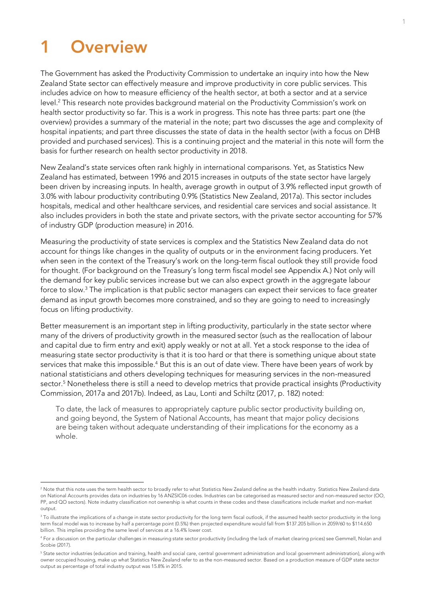# <span id="page-4-0"></span>**1 Overview**

-

The Government has asked the Productivity Commission to undertake an inquiry into how the New Zealand State sector can effectively measure and improve productivity in core public services. This includes advice on how to measure efficiency of the health sector, at both a sector and at a service level.<sup>2</sup> This research note provides background material on the Productivity Commission's work on health sector productivity so far. This is a work in progress. This note has three parts: part one (the overview) provides a summary of the material in the note; part two discusses the age and complexity of hospital inpatients; and part three discusses the state of data in the health sector (with a focus on DHB provided and purchased services). This is a continuing project and the material in this note will form the basis for further research on health sector productivity in 2018.

New Zealand's state services often rank highly in international comparisons. Yet, as Statistics New Zealand has estimated, between 1996 and 2015 increases in outputs of the state sector have largely been driven by increasing inputs. In health, average growth in output of 3.9% reflected input growth of 3.0% with labour productivity contributing 0.9% (Statistics New Zealand, 2017a). This sector includes hospitals, medical and other healthcare services, and residential care services and social assistance. It also includes providers in both the state and private sectors, with the private sector accounting for 57% of industry GDP (production measure) in 2016.

Measuring the productivity of state services is complex and the Statistics New Zealand data do not account for things like changes in the quality of outputs or in the environment facing producers. Yet when seen in the context of the Treasury's work on the long-term fiscal outlook they still provide food for thought. (For background on the Treasury's long term fiscal model see [Appendix A.](#page-24-0)) Not only will the demand for key public services increase but we can also expect growth in the aggregate labour force to slow.<sup>3</sup> The implication is that public sector managers can expect their services to face greater demand as input growth becomes more constrained, and so they are going to need to increasingly focus on lifting productivity.

Better measurement is an important step in lifting productivity, particularly in the state sector where many of the drivers of productivity growth in the measured sector (such as the reallocation of labour and capital due to firm entry and exit) apply weakly or not at all. Yet a stock response to the idea of measuring state sector productivity is that it is too hard or that there is something unique about state services that make this impossible.<sup>4</sup> But this is an out of date view. There have been years of work by national statisticians and others developing techniques for measuring services in the non-measured sector.<sup>5</sup> Nonetheless there is still a need to develop metrics that provide practical insights (Productivity Commission, 2017a and 2017b). Indeed, as Lau, Lonti and Schiltz (2017, p. 182) noted:

To date, the lack of measures to appropriately capture public sector productivity building on, and going beyond, the System of National Accounts, has meant that major policy decisions are being taken without adequate understanding of their implications for the economy as a whole.

<sup>&</sup>lt;sup>2</sup> Note that this note uses the term health sector to broadly refer to what Statistics New Zealand define as the health industry. Statistics New Zealand data on National Accounts provides data on industries by 16 ANZSIC06 codes. Industries can be categorised as measured sector and non-measured sector (OO, PP, and QO sectors). Note industry classification not ownership is what counts in these codes and these classifications include market and non-market output.

<sup>&</sup>lt;sup>3</sup> To illustrate the implications of a change in state sector productivity for the long term fiscal outlook, if the assumed health sector productivity in the long term fiscal model was to increase by half a percentage point (0.5%) then projected expenditure would fall from \$137.205 billion in 2059/60 to \$114.650 billion. This implies providing the same level of services at a 16.4% lower cost.

<sup>4</sup> For a discussion on the particular challenges in measuring state sector productivity (including the lack of market clearing prices) see Gemmell, Nolan and Scobie (2017).

<sup>&</sup>lt;sup>5</sup> State sector industries (education and training, health and social care, central government administration and local government administration), along with owner occupied housing, make up what Statistics New Zealand refer to as the non-measured sector. Based on a production measure of GDP state sector output as percentage of total industry output was 15.8% in 2015.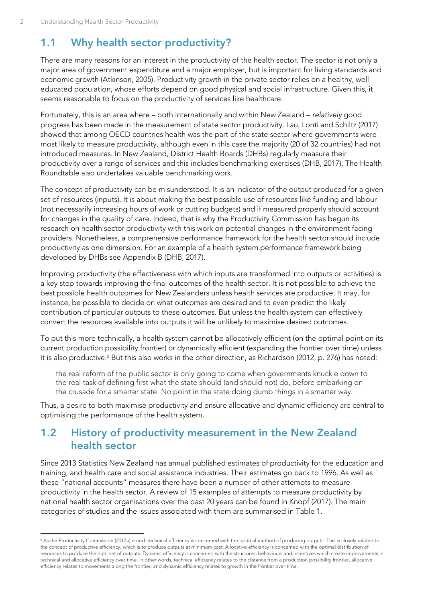# <span id="page-5-0"></span>**1.1 Why health sector productivity?**

There are many reasons for an interest in the productivity of the health sector. The sector is not only a major area of government expenditure and a major employer, but is important for living standards and economic growth (Atkinson, 2005). Productivity growth in the private sector relies on a healthy, welleducated population, whose efforts depend on good physical and social infrastructure. Given this, it seems reasonable to focus on the productivity of services like healthcare.

Fortunately, this is an area where – both internationally and within New Zealand – *relatively* good progress has been made in the measurement of state sector productivity. Lau, Lonti and Schiltz (2017) showed that among OECD countries health was the part of the state sector where governments were most likely to measure productivity, although even in this case the majority (20 of 32 countries) had not introduced measures. In New Zealand, District Health Boards (DHBs) regularly measure their productivity over a range of services and this includes benchmarking exercises (DHB, 2017). The Health Roundtable also undertakes valuable benchmarking work.

The concept of productivity can be misunderstood. It is an indicator of the output produced for a given set of resources (inputs). It is about making the best possible use of resources like funding and labour (not necessarily increasing hours of work or cutting budgets) and if measured properly should account for changes in the quality of care. Indeed, that is why the Productivity Commission has begun its research on health sector productivity with this work on potential changes in the environment facing providers. Nonetheless, a comprehensive performance framework for the health sector should include productivity as one dimension. For an example of a health system performance framework being developed by DHBs see [Appendix B](#page-26-0) (DHB, 2017).

Improving productivity (the effectiveness with which inputs are transformed into outputs or activities) is a key step towards improving the final outcomes of the health sector. It is not possible to achieve the best possible health outcomes for New Zealanders unless health services are productive. It may, for instance, be possible to decide on what outcomes are desired and to even predict the likely contribution of particular outputs to these outcomes. But unless the health system can effectively convert the resources available into outputs it will be unlikely to maximise desired outcomes.

To put this more technically, a health system cannot be allocatively efficient (on the optimal point on its current production possibility frontier) or dynamically efficient (expanding the frontier over time) unless it is also productive.<sup>6</sup> But this also works in the other direction, as Richardson (2012, p. 276) has noted:

the real reform of the public sector is only going to come when governments knuckle down to the real task of defining first what the state should (and should not) do, before embarking on the crusade for a smarter state. No point in the state doing dumb things in a smarter way.

Thus, a desire to both maximise productivity and ensure allocative and dynamic efficiency are central to optimising the performance of the health system.

## <span id="page-5-1"></span>**1.2 History of productivity measurement in the New Zealand health sector**

Since 2013 Statistics New Zealand has annual published estimates of productivity for the education and training, and health care and social assistance industries. Their estimates go back to 1996. As well as these "national accounts" measures there have been a number of other attempts to measure productivity in the health sector. A review of 15 examples of attempts to measure productivity by national health sector organisations over the past 20 years can be found in Knopf (2017). The main categories of studies and the issues associated with them are summarised in [Table 1.](#page-6-1)

<sup>-</sup><sup>6</sup> As the Productivity Commission (2017a) noted: technical efficiency is concerned with the optimal method of producing outputs. This is closely related to the concept of productive efficiency, which is to produce outputs at minimum cost. Allocative efficiency is concerned with the optimal distribution of resources to produce the right set of outputs. Dynamic efficiency is concerned with the structures, behaviours and incentives which create improvements in technical and allocative efficiency over time. In other words, technical efficiency relates to the distance from a production possibility frontier, allocative efficiency relates to movements along the frontier, and dynamic efficiency relates to growth in the frontier over time.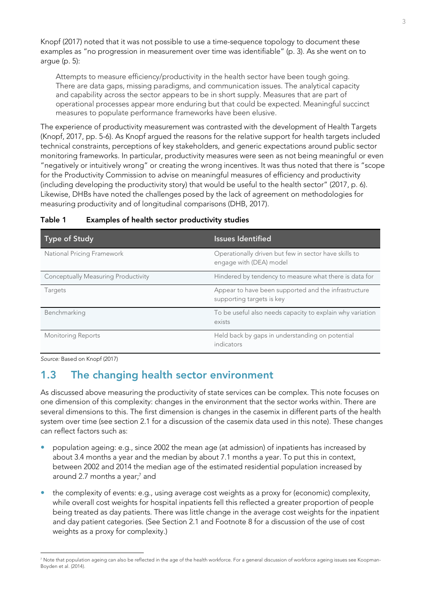Knopf (2017) noted that it was not possible to use a time-sequence topology to document these examples as "no progression in measurement over time was identifiable" (p. 3). As she went on to arque (p. 5):

Attempts to measure efficiency/productivity in the health sector have been tough going. There are data gaps, missing paradigms, and communication issues. The analytical capacity and capability across the sector appears to be in short supply. Measures that are part of operational processes appear more enduring but that could be expected. Meaningful succinct measures to populate performance frameworks have been elusive.

The experience of productivity measurement was contrasted with the development of Health Targets (Knopf, 2017, pp. 5-6). As Knopf argued the reasons for the relative support for health targets included technical constraints, perceptions of key stakeholders, and generic expectations around public sector monitoring frameworks. In particular, productivity measures were seen as not being meaningful or even "negatively or intuitively wrong" or creating the wrong incentives. It was thus noted that there is "scope for the Productivity Commission to advise on meaningful measures of efficiency and productivity (including developing the productivity story) that would be useful to the health sector" (2017, p. 6). Likewise, DHBs have noted the challenges posed by the lack of agreement on methodologies for measuring productivity and of longitudinal comparisons (DHB, 2017).

| <b>Type of Study</b>                | <b>Issues Identified</b>                                                          |
|-------------------------------------|-----------------------------------------------------------------------------------|
| National Pricing Framework          | Operationally driven but few in sector have skills to<br>engage with (DEA) model  |
| Conceptually Measuring Productivity | Hindered by tendency to measure what there is data for                            |
| Targets                             | Appear to have been supported and the infrastructure<br>supporting targets is key |
| Benchmarking                        | To be useful also needs capacity to explain why variation<br>exists               |
| Monitoring Reports                  | Held back by gaps in understanding on potential<br>indicators                     |

#### <span id="page-6-1"></span>**Table 1 Examples of health sector productivity studies**

*Source:* Based on Knopf (2017)

-

# <span id="page-6-0"></span>**1.3 The changing health sector environment**

As discussed above measuring the productivity of state services can be complex. This note focuses on one dimension of this complexity: changes in the environment that the sector works within. There are several dimensions to this. The first dimension is changes in the casemix in different parts of the health system over time (see section [2.1](#page-10-0) for a discussion of the casemix data used in this note). These changes can reflect factors such as:

- population ageing: e.g., since 2002 the mean age (at admission) of inpatients has increased by about 3.4 months a year and the median by about 7.1 months a year. To put this in context, between 2002 and 2014 the median age of the estimated residential population increased by around 2.7 months a year; <sup>7</sup> and
- the complexity of events: e.g., using average cost weights as a proxy for (economic) complexity, while overall cost weights for hospital inpatients fell this reflected a greater proportion of people being treated as day patients. There was little change in the average cost weights for the inpatient and day patient categories. (See Section [2.1](#page-10-0) and Footnote [8](#page-10-2) for a discussion of the use of cost weights as a proxy for complexity.)

<sup>&</sup>lt;sup>7</sup> Note that population ageing can also be reflected in the age of the health workforce. For a general discussion of workforce ageing issues see Koopman-Boyden et al. (2014).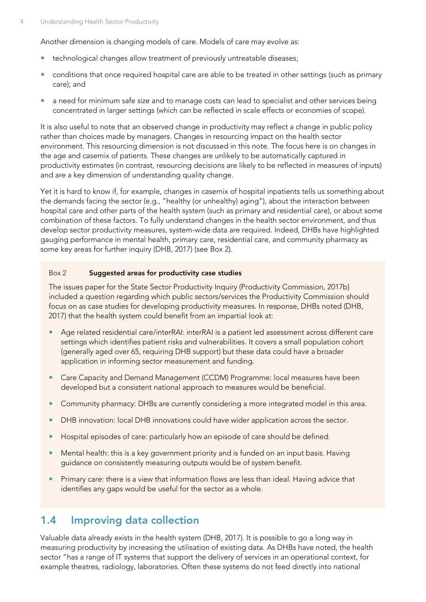Another dimension is changing models of care. Models of care may evolve as:

- technological changes allow treatment of previously untreatable diseases;
- conditions that once required hospital care are able to be treated in other settings (such as primary care); and
- a need for minimum safe size and to manage costs can lead to specialist and other services being concentrated in larger settings (which can be reflected in scale effects or economies of scope).

It is also useful to note that an observed change in productivity may reflect a change in public policy rather than choices made by managers. Changes in resourcing impact on the health sector environment. This resourcing dimension is not discussed in this note. The focus here is on changes in the age and casemix of patients. These changes are unlikely to be automatically captured in productivity estimates (in contrast, resourcing decisions are likely to be reflected in measures of inputs) and are a key dimension of understanding quality change.

Yet it is hard to know if, for example, changes in casemix of hospital inpatients tells us something about the demands facing the sector (e.g., "healthy (or unhealthy) aging"), about the interaction between hospital care and other parts of the health system (such as primary and residential care), or about some combination of these factors. To fully understand changes in the health sector environment, and thus develop sector productivity measures, system-wide data are required. Indeed, DHBs have highlighted gauging performance in mental health, primary care, residential care, and community pharmacy as some key areas for further inquiry (DHB, 2017) (see [Box 2\)](#page-7-1).

#### <span id="page-7-1"></span>Box 2 **Suggested areas for productivity case studies**

The issues paper for the State Sector Productivity Inquiry (Productivity Commission, 2017b) included a question regarding which public sectors/services the Productivity Commission should focus on as case studies for developing productivity measures. In response, DHBs noted (DHB, 2017) that the health system could benefit from an impartial look at:

- Age related residential care/interRAI: interRAI is a patient led assessment across different care settings which identifies patient risks and vulnerabilities. It covers a small population cohort (generally aged over 65, requiring DHB support) but these data could have a broader application in informing sector measurement and funding.
- Care Capacity and Demand Management (CCDM) Programme: local measures have been developed but a consistent national approach to measures would be beneficial.
- Community pharmacy: DHBs are currently considering a more integrated model in this area.
- DHB innovation: local DHB innovations could have wider application across the sector.
- Hospital episodes of care: particularly how an episode of care should be defined.
- Mental health: this is a key government priority and is funded on an input basis. Having guidance on consistently measuring outputs would be of system benefit.
- Primary care: there is a view that information flows are less than ideal. Having advice that identifies any gaps would be useful for the sector as a whole.

## <span id="page-7-0"></span>**1.4 Improving data collection**

Valuable data already exists in the health system (DHB, 2017). It is possible to go a long way in measuring productivity by increasing the utilisation of existing data. As DHBs have noted, the health sector "has a range of IT systems that support the delivery of services in an operational context, for example theatres, radiology, laboratories. Often these systems do not feed directly into national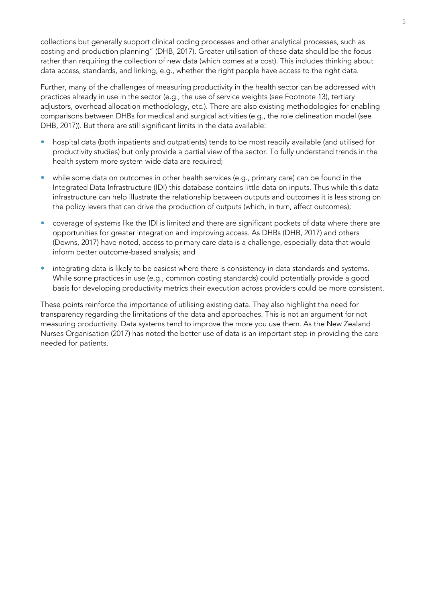collections but generally support clinical coding processes and other analytical processes, such as costing and production planning" (DHB, 2017). Greater utilisation of these data should be the focus rather than requiring the collection of new data (which comes at a cost). This includes thinking about data access, standards, and linking, e.g., whether the right people have access to the right data.

Further, many of the challenges of measuring productivity in the health sector can be addressed with practices already in use in the sector (e.g., the use of service weights (see Footnote [13\)](#page-18-0), tertiary adjustors, overhead allocation methodology, etc.). There are also existing methodologies for enabling comparisons between DHBs for medical and surgical activities (e.g., the role delineation model (see DHB, 2017)). But there are still significant limits in the data available:

- hospital data (both inpatients and outpatients) tends to be most readily available (and utilised for productivity studies) but only provide a partial view of the sector. To fully understand trends in the health system more system-wide data are required;
- while some data on outcomes in other health services (e.g., primary care) can be found in the Integrated Data Infrastructure (IDI) this database contains little data on inputs. Thus while this data infrastructure can help illustrate the relationship between outputs and outcomes it is less strong on the policy levers that can drive the production of outputs (which, in turn, affect outcomes);
- coverage of systems like the IDI is limited and there are significant pockets of data where there are opportunities for greater integration and improving access. As DHBs (DHB, 2017) and others (Downs, 2017) have noted, access to primary care data is a challenge, especially data that would inform better outcome-based analysis; and
- integrating data is likely to be easiest where there is consistency in data standards and systems. While some practices in use (e.g., common costing standards) could potentially provide a good basis for developing productivity metrics their execution across providers could be more consistent.

These points reinforce the importance of utilising existing data. They also highlight the need for transparency regarding the limitations of the data and approaches. This is not an argument for not measuring productivity. Data systems tend to improve the more you use them. As the New Zealand Nurses Organisation (2017) has noted the better use of data is an important step in providing the care needed for patients.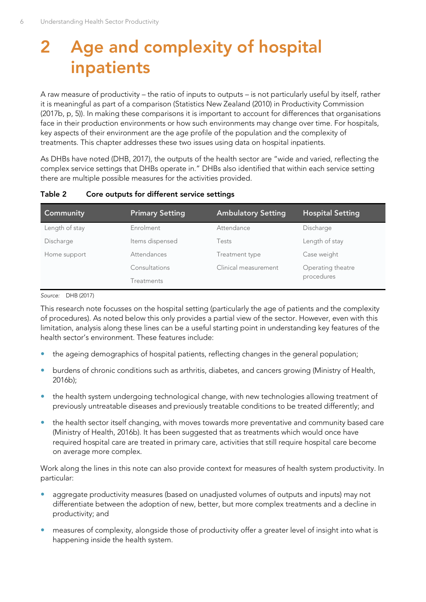# <span id="page-9-0"></span>**2 Age and complexity of hospital inpatients**

A raw measure of productivity – the ratio of inputs to outputs – is not particularly useful by itself, rather it is meaningful as part of a comparison (Statistics New Zealand (2010) in Productivity Commission (2017b, p, 5)). In making these comparisons it is important to account for differences that organisations face in their production environments or how such environments may change over time. For hospitals, key aspects of their environment are the age profile of the population and the complexity of treatments. This chapter addresses these two issues using data on hospital inpatients.

As DHBs have noted (DHB, 2017), the outputs of the health sector are "wide and varied, reflecting the complex service settings that DHBs operate in." DHBs also identified that within each service setting there are multiple possible measures for the activities provided.

| Community      | <b>Primary Setting</b> | <b>Ambulatory Setting</b>          | <b>Hospital Setting</b> |
|----------------|------------------------|------------------------------------|-------------------------|
| Length of stay | Enrolment              | Attendance                         | Discharge               |
| Discharge      | Items dispensed        | Tests                              | Length of stay          |
| Home support   | Attendances            | Treatment type                     | Case weight             |
|                | Consultations          | Clinical measurement<br>procedures | Operating theatre       |
|                | Treatments             |                                    |                         |

#### <span id="page-9-1"></span>**Table 2 Core outputs for different service settings**

*Source:* DHB (2017)

This research note focusses on the hospital setting (particularly the age of patients and the complexity of procedures). As noted below this only provides a partial view of the sector. However, even with this limitation, analysis along these lines can be a useful starting point in understanding key features of the health sector's environment. These features include:

- the ageing demographics of hospital patients, reflecting changes in the general population;
- **•** burdens of chronic conditions such as arthritis, diabetes, and cancers growing (Ministry of Health, 2016b);
- the health system undergoing technological change, with new technologies allowing treatment of previously untreatable diseases and previously treatable conditions to be treated differently; and
- the health sector itself changing, with moves towards more preventative and community based care (Ministry of Health, 2016b). It has been suggested that as treatments which would once have required hospital care are treated in primary care, activities that still require hospital care become on average more complex.

Work along the lines in this note can also provide context for measures of health system productivity. In particular:

- aggregate productivity measures (based on unadjusted volumes of outputs and inputs) may not differentiate between the adoption of new, better, but more complex treatments and a decline in productivity; and
- measures of complexity, alongside those of productivity offer a greater level of insight into what is happening inside the health system.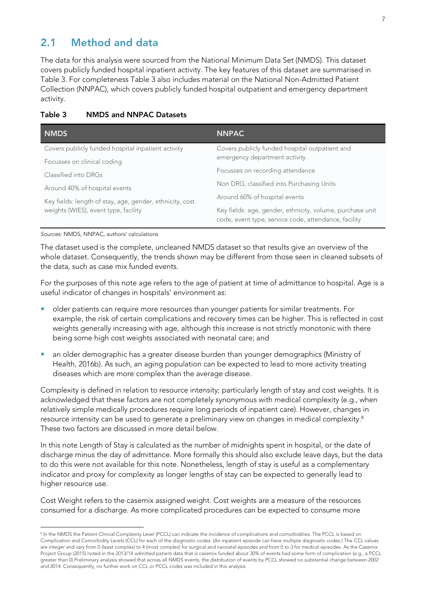## <span id="page-10-0"></span>**2.1 Method and data**

The data for this analysis were sourced from the National Minimum Data Set (NMDS). This dataset covers publicly funded hospital inpatient activity. The key features of this dataset are summarised in [Table 3.](#page-10-1) For completeness [Table 3](#page-10-1) also includes material on the National Non-Admitted Patient Collection (NNPAC), which covers publicly funded hospital outpatient and emergency department activity.

| <b>NMDS</b>                                              | <b>NNPAC</b>                                                                                                        |  |
|----------------------------------------------------------|---------------------------------------------------------------------------------------------------------------------|--|
| Covers publicly funded hospital inpatient activity       | Covers publicly funded hospital outpatient and<br>emergency department activity<br>Focusses on recording attendance |  |
| Focusses on clinical coding                              |                                                                                                                     |  |
| Classified into DRGs                                     |                                                                                                                     |  |
| Around 40% of hospital events                            | Non DRG, classified into Purchasing Units                                                                           |  |
| Key fields: length of stay, age, gender, ethnicity, cost | Around 60% of hospital events                                                                                       |  |
| weights (WIES), event type, facility                     | Key fields: age, gender, ethnicity, volume, purchase unit<br>code, event type, service code, attendance, facility   |  |

#### <span id="page-10-1"></span>**Table 3 NMDS and NNPAC Datasets**

*Sources:* NMDS, NNPAC, authors' calculations

-

The dataset used is the complete, uncleaned NMDS dataset so that results give an overview of the whole dataset. Consequently, the trends shown may be different from those seen in cleaned subsets of the data, such as case mix funded events.

For the purposes of this note age refers to the age of patient at time of admittance to hospital. Age is a useful indicator of changes in hospitals' environment as:

- older patients can require more resources than younger patients for similar treatments. For example, the risk of certain complications and recovery times can be higher. This is reflected in cost weights generally increasing with age, although this increase is not strictly monotonic with there being some high cost weights associated with neonatal care; and
- an older demographic has a greater disease burden than younger demographics (Ministry of Health, 2016b). As such, an aging population can be expected to lead to more activity treating diseases which are more complex than the average disease.

<span id="page-10-2"></span>Complexity is defined in relation to resource intensity; particularly length of stay and cost weights. It is acknowledged that these factors are not completely synonymous with medical complexity (e.g., when relatively simple medically procedures require long periods of inpatient care). However, changes in resource intensity can be used to generate a preliminary view on changes in medical complexity.<sup>8</sup> These two factors are discussed in more detail below.

In this note Length of Stay is calculated as the number of midnights spent in hospital, or the date of discharge minus the day of admittance. More formally this should also exclude leave days, but the data to do this were not available for this note. Nonetheless, length of stay is useful as a complementary indicator and proxy for complexity as longer lengths of stay can be expected to generally lead to higher resource use.

Cost Weight refers to the casemix assigned weight. Cost weights are a measure of the resources consumed for a discharge. As more complicated procedures can be expected to consume more

 $^{\text{8}}$  In the NMDS the Patient Clinical Complexity Level (PCCL) can indicate the incidence of complications and comorbidities. The PCCL is based on Complication and Comorbidity Levels (CCL) for each of the diagnostic codes. (An inpatient episode can have multiple diagnostic codes.) The CCL values are integer and vary from 0 (least complex) to 4 (most complex) for surgical and neonatal episodes and from 0 to 3 for medical episodes. As the Casemix Project Group (2015) noted in the 2013/14 admitted patient data that is casemix funded about 30% of events had some form of complication (e.g., a PCCL greater than 0).Preliminary analysis showed that across all NMDS events, the distribution of events by PCCL showed no substantial change between 2002 and 2014. Consequently, no further work on CCL or PCCL codes was included in this analysis.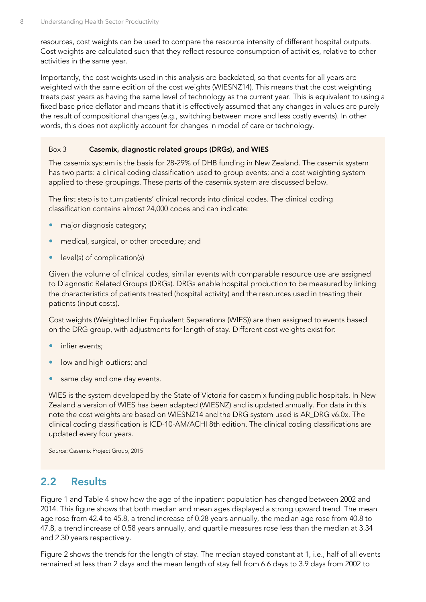resources, cost weights can be used to compare the resource intensity of different hospital outputs. Cost weights are calculated such that they reflect resource consumption of activities, relative to other activities in the same year.

Importantly, the cost weights used in this analysis are backdated, so that events for all years are weighted with the same edition of the cost weights (WIESNZ14). This means that the cost weighting treats past years as having the same level of technology as the current year. This is equivalent to using a fixed base price deflator and means that it is effectively assumed that any changes in values are purely the result of compositional changes (e.g., switching between more and less costly events). In other words, this does not explicitly account for changes in model of care or technology.

#### <span id="page-11-1"></span>Box 3 **Casemix, diagnostic related groups (DRGs), and WIES**

The casemix system is the basis for 28-29% of DHB funding in New Zealand. The casemix system has two parts: a clinical coding classification used to group events; and a cost weighting system applied to these groupings. These parts of the casemix system are discussed below.

The first step is to turn patients' clinical records into clinical codes. The clinical coding classification contains almost 24,000 codes and can indicate:

- major diagnosis category;
- medical, surgical, or other procedure; and
- level(s) of complication(s)

Given the volume of clinical codes, similar events with comparable resource use are assigned to Diagnostic Related Groups (DRGs). DRGs enable hospital production to be measured by linking the characteristics of patients treated (hospital activity) and the resources used in treating their patients (input costs).

Cost weights (Weighted Inlier Equivalent Separations (WIES)) are then assigned to events based on the DRG group, with adjustments for length of stay. Different cost weights exist for:

- inlier events;
- low and high outliers; and
- same day and one day events.

WIES is the system developed by the State of Victoria for casemix funding public hospitals. In New Zealand a version of WIES has been adapted (WIESNZ) and is updated annually. For data in this note the cost weights are based on WIESNZ14 and the DRG system used is AR\_DRG v6.0x. The clinical coding classification is ICD-10-AM/ACHI 8th edition. The clinical coding classifications are updated every four years.

*Source*: Casemix Project Group, 2015

## <span id="page-11-0"></span>**2.2 Results**

[Figure 1](#page-12-1) and [Table 4](#page-12-0) show how the age of the inpatient population has changed between 2002 and 2014. This figure shows that both median and mean ages displayed a strong upward trend. The mean age rose from 42.4 to 45.8, a trend increase of 0.28 years annually, the median age rose from 40.8 to 47.8, a trend increase of 0.58 years annually, and quartile measures rose less than the median at 3.34 and 2.30 years respectively.

[Figure 2](#page-13-0) shows the trends for the length of stay. The median stayed constant at 1, i.e., half of all events remained at less than 2 days and the mean length of stay fell from 6.6 days to 3.9 days from 2002 to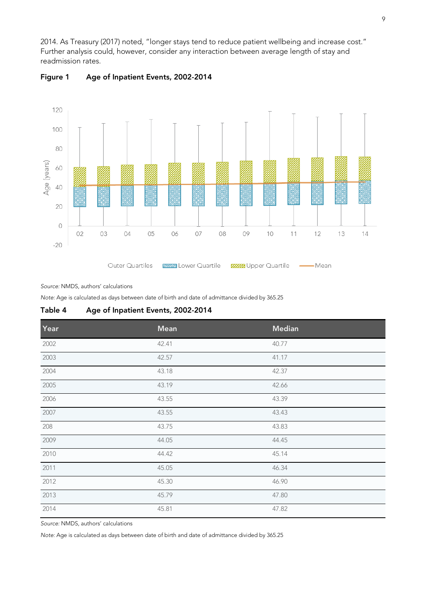2014. As Treasury (2017) noted, "longer stays tend to reduce patient wellbeing and increase cost." Further analysis could, however, consider any interaction between average length of stay and readmission rates.



#### <span id="page-12-1"></span>**Figure 1 Age of Inpatient Events, 2002-2014**

*Source:* NMDS, authors' calculations

*Note:* Age is calculated as days between date of birth and date of admittance divided by 365.25

<span id="page-12-0"></span>

| Table 4 | Age of Inpatient Events, 2002-2014 |  |
|---------|------------------------------------|--|
|---------|------------------------------------|--|

| Year | <b>Mean</b> | <b>Median</b> |
|------|-------------|---------------|
| 2002 | 42.41       | 40.77         |
| 2003 | 42.57       | 41.17         |
| 2004 | 43.18       | 42.37         |
| 2005 | 43.19       | 42.66         |
| 2006 | 43.55       | 43.39         |
| 2007 | 43.55       | 43.43         |
| 208  | 43.75       | 43.83         |
| 2009 | 44.05       | 44.45         |
| 2010 | 44.42       | 45.14         |
| 2011 | 45.05       | 46.34         |
| 2012 | 45.30       | 46.90         |
| 2013 | 45.79       | 47.80         |
| 2014 | 45.81       | 47.82         |

*Source:* NMDS, authors' calculations

*Note:* Age is calculated as days between date of birth and date of admittance divided by 365.25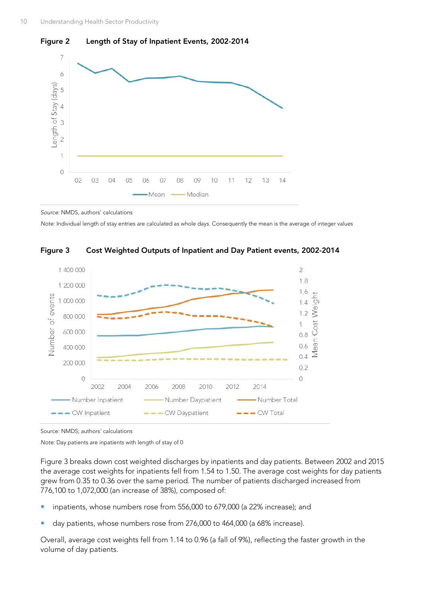<span id="page-13-0"></span>



*Source:* NMDS, authors' calculations

*Note:* Individual length of stay entries are calculated as whole days. Consequently the mean is the average of integer values



<span id="page-13-1"></span>

Source: NMDS; authors' calculations

*Note:* Day patients are inpatients with length of stay of 0

[Figure 3](#page-13-1) breaks down cost weighted discharges by inpatients and day patients. Between 2002 and 2015 the average cost weights for inpatients fell from 1.54 to 1.50. The average cost weights for day patients grew from 0.35 to 0.36 over the same period. The number of patients discharged increased from 776,100 to 1,072,000 (an increase of 38%), composed of:

- inpatients, whose numbers rose from 556,000 to 679,000 (a 22% increase); and
- day patients, whose numbers rose from 276,000 to 464,000 (a 68% increase).

Overall, average cost weights fell from 1.14 to 0.96 (a fall of 9%), reflecting the faster growth in the volume of day patients.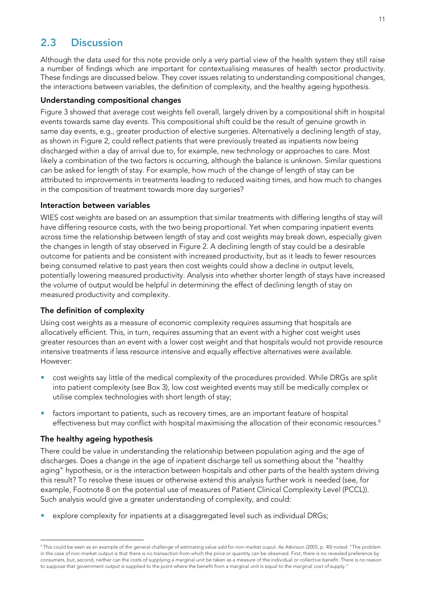# <span id="page-14-0"></span>**2.3 Discussion**

Although the data used for this note provide only a very partial view of the health system they still raise a number of findings which are important for contextualising measures of health sector productivity. These findings are discussed below. They cover issues relating to understanding compositional changes, the interactions between variables, the definition of complexity, and the healthy ageing hypothesis.

#### **Understanding compositional changes**

[Figure 3](#page-13-1) showed that average cost weights fell overall, largely driven by a compositional shift in hospital events towards same day events. This compositional shift could be the result of genuine growth in same day events, e.g., greater production of elective surgeries. Alternatively a declining length of stay, as shown in [Figure 2,](#page-13-0) could reflect patients that were previously treated as inpatients now being discharged within a day of arrival due to, for example, new technology or approaches to care. Most likely a combination of the two factors is occurring, although the balance is unknown. Similar questions can be asked for length of stay. For example, how much of the change of length of stay can be attributed to improvements in treatments leading to reduced waiting times, and how much to changes in the composition of treatment towards more day surgeries?

#### **Interaction between variables**

WIES cost weights are based on an assumption that similar treatments with differing lengths of stay will have differing resource costs, with the two being proportional. Yet when comparing inpatient events across time the relationship between length of stay and cost weights may break down, especially given the changes in length of stay observed in [Figure 2.](#page-13-0) A declining length of stay could be a desirable outcome for patients and be consistent with increased productivity, but as it leads to fewer resources being consumed relative to past years then cost weights could show a decline in output levels, potentially lowering measured productivity. Analysis into whether shorter length of stays have increased the volume of output would be helpful in determining the effect of declining length of stay on measured productivity and complexity.

### **The definition of complexity**

Using cost weights as a measure of economic complexity requires assuming that hospitals are allocatively efficient. This, in turn, requires assuming that an event with a higher cost weight uses greater resources than an event with a lower cost weight and that hospitals would not provide resource intensive treatments if less resource intensive and equally effective alternatives were available. However:

- cost weights say little of the medical complexity of the procedures provided. While DRGs are split into patient complexity (see [Box 3\)](#page-11-1), low cost weighted events may still be medically complex or utilise complex technologies with short length of stay;
- factors important to patients, such as recovery times, are an important feature of hospital effectiveness but may conflict with hospital maximising the allocation of their economic resources.<sup>9</sup>

### **The healthy ageing hypothesis**

-

There could be value in understanding the relationship between population aging and the age of discharges. Does a change in the age of inpatient discharge tell us something about the "healthy aging" hypothesis, or is the interaction between hospitals and other parts of the health system driving this result? To resolve these issues or otherwise extend this analysis further work is needed (see, for example, Footnote [8](#page-10-2) on the potential use of measures of Patient Clinical Complexity Level (PCCL)). Such analysis would give a greater understanding of complexity, and could:

explore complexity for inpatients at a disaggregated level such as individual DRGs;

<sup>9</sup> This could be seen as an example of the general challenge of estimating value add for non-market ouput. As Atkinson (2005, p. 40) noted: "The problem in the case of non-market output is that there is no transaction from which the price or quantity can be observed. First, there is no revealed preference by consumers, but, second, neither can the costs of supplying a marginal unit be taken as a measure of the individual or collective benefit. There is no reason to suppose that government output is supplied to the point where the benefit from a marginal unit is equal to the marginal cost of supply."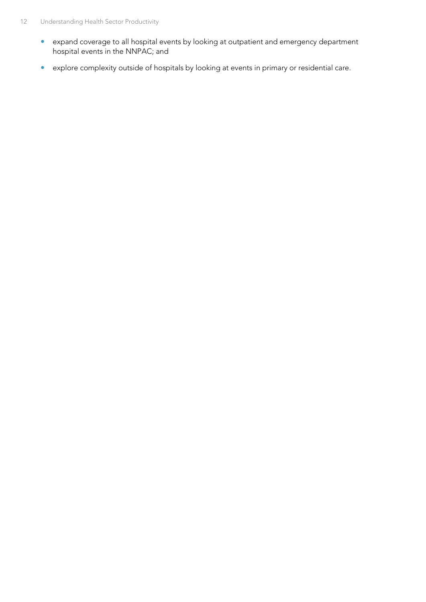- expand coverage to all hospital events by looking at outpatient and emergency department hospital events in the NNPAC; and
- explore complexity outside of hospitals by looking at events in primary or residential care.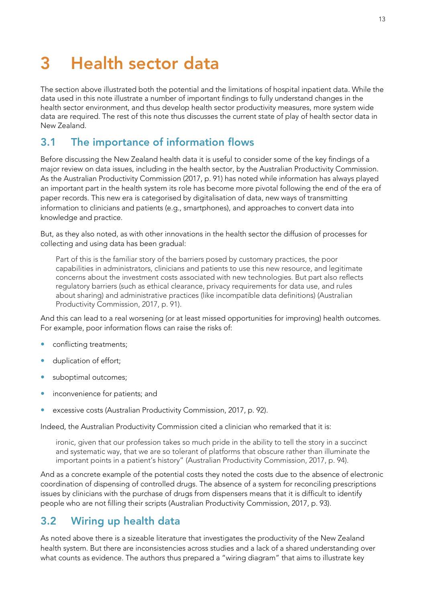# <span id="page-16-0"></span>**3 Health sector data**

The section above illustrated both the potential and the limitations of hospital inpatient data. While the data used in this note illustrate a number of important findings to fully understand changes in the health sector environment, and thus develop health sector productivity measures, more system wide data are required. The rest of this note thus discusses the current state of play of health sector data in New Zealand.

# <span id="page-16-1"></span>**3.1 The importance of information flows**

Before discussing the New Zealand health data it is useful to consider some of the key findings of a major review on data issues, including in the health sector, by the Australian Productivity Commission. As the Australian Productivity Commission (2017, p. 91) has noted while information has always played an important part in the health system its role has become more pivotal following the end of the era of paper records. This new era is categorised by digitalisation of data, new ways of transmitting information to clinicians and patients (e.g., smartphones), and approaches to convert data into knowledge and practice.

But, as they also noted, as with other innovations in the health sector the diffusion of processes for collecting and using data has been gradual:

Part of this is the familiar story of the barriers posed by customary practices, the poor capabilities in administrators, clinicians and patients to use this new resource, and legitimate concerns about the investment costs associated with new technologies. But part also reflects regulatory barriers (such as ethical clearance, privacy requirements for data use, and rules about sharing) and administrative practices (like incompatible data definitions) (Australian Productivity Commission, 2017, p. 91).

And this can lead to a real worsening (or at least missed opportunities for improving) health outcomes. For example, poor information flows can raise the risks of:

- conflicting treatments;
- duplication of effort;
- suboptimal outcomes;
- **•** inconvenience for patients; and
- excessive costs (Australian Productivity Commission, 2017, p. 92).

Indeed, the Australian Productivity Commission cited a clinician who remarked that it is:

ironic, given that our profession takes so much pride in the ability to tell the story in a succinct and systematic way, that we are so tolerant of platforms that obscure rather than illuminate the important points in a patient's history" (Australian Productivity Commission, 2017, p. 94).

And as a concrete example of the potential costs they noted the costs due to the absence of electronic coordination of dispensing of controlled drugs. The absence of a system for reconciling prescriptions issues by clinicians with the purchase of drugs from dispensers means that it is difficult to identify people who are not filling their scripts (Australian Productivity Commission, 2017, p. 93).

### <span id="page-16-2"></span>**3.2 Wiring up health data**

As noted above there is a sizeable literature that investigates the productivity of the New Zealand health system. But there are inconsistencies across studies and a lack of a shared understanding over what counts as evidence. The authors thus prepared a "wiring diagram" that aims to illustrate key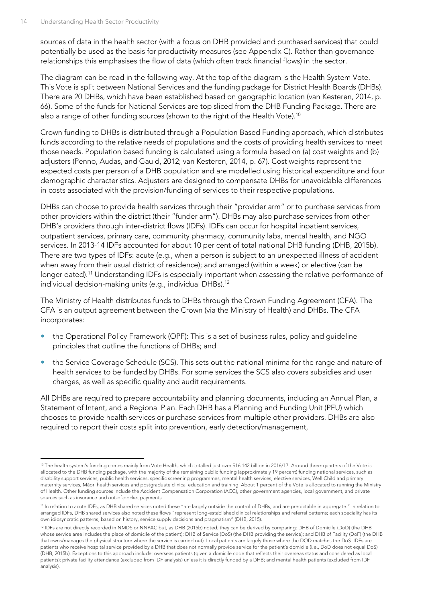sources of data in the health sector (with a focus on DHB provided and purchased services) that could potentially be used as the basis for productivity measures (see [Appendix C\)](#page-27-0). Rather than governance relationships this emphasises the flow of data (which often track financial flows) in the sector.

The diagram can be read in the following way. At the top of the diagram is the Health System Vote. This Vote is split between National Services and the funding package for District Health Boards (DHBs). There are 20 DHBs, which have been established based on geographic location (van Kesteren, 2014, p. 66). Some of the funds for National Services are top sliced from the DHB Funding Package. There are also a range of other funding sources (shown to the right of the Health Vote).<sup>10</sup>

Crown funding to DHBs is distributed through a Population Based Funding approach, which distributes funds according to the relative needs of populations and the costs of providing health services to meet those needs. Population based funding is calculated using a formula based on (a) cost weights and (b) adjusters (Penno, Audas, and Gauld, 2012; van Kesteren, 2014, p. 67). Cost weights represent the expected costs per person of a DHB population and are modelled using historical expenditure and four demographic characteristics. Adjusters are designed to compensate DHBs for unavoidable differences in costs associated with the provision/funding of services to their respective populations.

DHBs can choose to provide health services through their "provider arm" or to purchase services from other providers within the district (their "funder arm"). DHBs may also purchase services from other DHB's providers through inter-district flows (IDFs). IDFs can occur for hospital inpatient services, outpatient services, primary care, community pharmacy, community labs, mental health, and NGO services. In 2013-14 IDFs accounted for about 10 per cent of total national DHB funding (DHB, 2015b). There are two types of IDFs: acute (e.g., when a person is subject to an unexpected illness of accident when away from their usual district of residence); and arranged (within a week) or elective (can be longer dated).<sup>11</sup> Understanding IDFs is especially important when assessing the relative performance of individual decision-making units (e.g., individual DHBs).<sup>12</sup>

The Ministry of Health distributes funds to DHBs through the Crown Funding Agreement (CFA). The CFA is an output agreement between the Crown (via the Ministry of Health) and DHBs. The CFA incorporates:

- the Operational Policy Framework (OPF): This is a set of business rules, policy and guideline principles that outline the functions of DHBs; and
- the Service Coverage Schedule (SCS). This sets out the national minima for the range and nature of health services to be funded by DHBs. For some services the SCS also covers subsidies and user charges, as well as specific quality and audit requirements.

All DHBs are required to prepare accountability and planning documents, including an Annual Plan, a Statement of Intent, and a Regional Plan. Each DHB has a Planning and Funding Unit (PFU) which chooses to provide health services or purchase services from multiple other providers. DHBs are also required to report their costs split into prevention, early detection/management,

<sup>-</sup><sup>10</sup> The health system's funding comes mainly from Vote Health, which totalled just over \$16.142 billion in 2016/17. Around three-quarters of the Vote is allocated to the DHB funding package, with the majority of the remaining public funding (approximately 19 percent) funding national services, such as disability support services, public health services, specific screening programmes, mental health services, elective services, Well Child and primary maternity services, Māori health services and postgraduate clinical education and training. About 1 percent of the Vote is allocated to running the Ministry of Health. Other funding sources include the Accident Compensation Corporation (ACC), other government agencies, local government, and private sources such as insurance and out-of-pocket payments.

<sup>11</sup> In relation to acute IDFs, as DHB shared services noted these "are largely outside the control of DHBs, and are predictable in aggregate." In relation to arranged IDFs, DHB shared services also noted these flows "represent long-established clinical relationships and referral patterns; each speciality has its own idiosyncratic patterns, based on history, service supply decisions and pragmatism" (DHB, 2015).

<sup>&</sup>lt;sup>12</sup> IDFs are not directly recorded in NMDS or NNPAC but, as DHB (2015b) noted, they can be derived by comparing: DHB of Domicile (DoD) (the DHB whose service area includes the place of domicile of the patient); DHB of Service (DoS) (the DHB providing the service); and DHB of Facility (DoF) (the DHB that owns/manages the physical structure where the service is carried out). Local patients are largely those where the DOD matches the DoS. IDFs are patients who receive hospital service provided by a DHB that does not normally provide service for the patient's domicile (i.e., DoD does not equal DoS) (DHB, 2015b). Exceptions to this approach include: overseas patients (given a domicile code that reflects their overseas status and considered as local patients); private facility attendance (excluded from IDF analysis) unless it is directly funded by a DHB; and mental health patients (excluded from IDF analysis).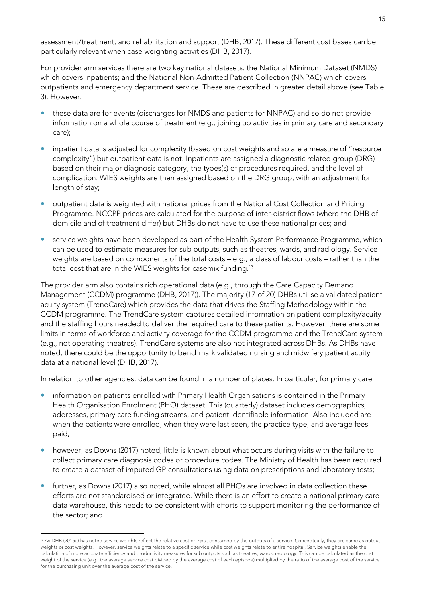assessment/treatment, and rehabilitation and support (DHB, 2017). These different cost bases can be particularly relevant when case weighting activities (DHB, 2017).

For provider arm services there are two key national datasets: the National Minimum Dataset (NMDS) which covers inpatients; and the National Non-Admitted Patient Collection (NNPAC) which covers outpatients and emergency department service. These are described in greater detail above (see [Table](#page-10-1)  [3\)](#page-10-1). However:

- these data are for events (discharges for NMDS and patients for NNPAC) and so do not provide information on a whole course of treatment (e.g., joining up activities in primary care and secondary care);
- inpatient data is adjusted for complexity (based on cost weights and so are a measure of "resource complexity") but outpatient data is not. Inpatients are assigned a diagnostic related group (DRG) based on their major diagnosis category, the types(s) of procedures required, and the level of complication. WIES weights are then assigned based on the DRG group, with an adjustment for length of stay;
- outpatient data is weighted with national prices from the National Cost Collection and Pricing Programme. NCCPP prices are calculated for the purpose of inter-district flows (where the DHB of domicile and of treatment differ) but DHBs do not have to use these national prices; and
- service weights have been developed as part of the Health System Performance Programme, which can be used to estimate measures for sub outputs, such as theatres, wards, and radiology. Service weights are based on components of the total costs – e.g., a class of labour costs – rather than the total cost that are in the WIES weights for casemix funding.<sup>13</sup>

<span id="page-18-0"></span>The provider arm also contains rich operational data (e.g., through the Care Capacity Demand Management (CCDM) programme (DHB, 2017)). The majority (17 of 20) DHBs utilise a validated patient acuity system (TrendCare) which provides the data that drives the Staffing Methodology within the CCDM programme. The TrendCare system captures detailed information on patient complexity/acuity and the staffing hours needed to deliver the required care to these patients. However, there are some limits in terms of workforce and activity coverage for the CCDM programme and the TrendCare system (e.g., not operating theatres). TrendCare systems are also not integrated across DHBs. As DHBs have noted, there could be the opportunity to benchmark validated nursing and midwifery patient acuity data at a national level (DHB, 2017).

In relation to other agencies, data can be found in a number of places. In particular, for primary care:

- information on patients enrolled with Primary Health Organisations is contained in the Primary Health Organisation Enrolment (PHO) dataset. This (quarterly) dataset includes demographics, addresses, primary care funding streams, and patient identifiable information. Also included are when the patients were enrolled, when they were last seen, the practice type, and average fees paid;
- however, as Downs (2017) noted, little is known about what occurs during visits with the failure to collect primary care diagnosis codes or procedure codes. The Ministry of Health has been required to create a dataset of imputed GP consultations using data on prescriptions and laboratory tests;
- **•** further, as Downs (2017) also noted, while almost all PHOs are involved in data collection these efforts are not standardised or integrated. While there is an effort to create a national primary care data warehouse, this needs to be consistent with efforts to support monitoring the performance of the sector; and

-

<sup>&</sup>lt;sup>13</sup> As DHB (2015a) has noted service weights reflect the relative cost or input consumed by the outputs of a service. Conceptually, they are same as output weights or cost weights. However, service weights relate to a specific service while cost weights relate to entire hospital. Service weights enable the calculation of more accurate efficiency and productivity measures for sub outputs such as theatres, wards, radiology. This can be calculated as the cost weight of the service (e.g., the average service cost divided by the average cost of each episode) multiplied by the ratio of the average cost of the service for the purchasing unit over the average cost of the service.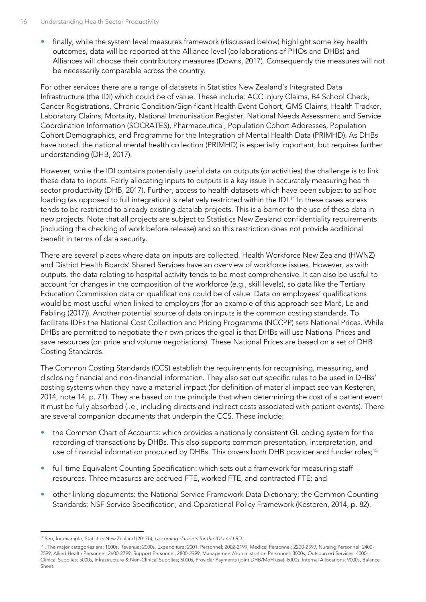finally, while the system level measures framework (discussed below) highlight some key health outcomes, data will be reported at the Alliance level (collaborations of PHOs and DHBs) and Alliances will choose their contributory measures (Downs, 2017). Consequently the measures will not be necessarily comparable across the country.

For other services there are a range of datasets in Statistics New Zealand's Integrated Data Infrastructure (the IDI) which could be of value. These include: ACC Injury Claims, B4 School Check, Cancer Registrations, Chronic Condition/Significant Health Event Cohort, GMS Claims, Health Tracker, Laboratory Claims, Mortality, National Immunisation Register, National Needs Assessment and Service Coordination Information (SOCRATES), Pharmaceutical, Population Cohort Addresses, Population Cohort Demographics, and Programme for the Integration of Mental Health Data (PRIMHD). As DHBs have noted, the national mental health collection (PRIMHD) is especially important, but requires further understanding (DHB, 2017).

However, while the IDI contains potentially useful data on outputs (or activities) the challenge is to link these data to inputs. Fairly allocating inputs to outputs is a key issue in accurately measuring health sector productivity (DHB, 2017). Further, access to health datasets which have been subject to ad hoc loading (as opposed to full integration) is relatively restricted within the IDI.<sup>14</sup> In these cases access tends to be restricted to already existing datalab projects. This is a barrier to the use of these data in new projects. Note that all projects are subject to Statistics New Zealand confidentiality requirements (including the checking of work before release) and so this restriction does not provide additional benefit in terms of data security.

There are several places where data on inputs are collected. Health Workforce New Zealand (HWNZ) and District Health Boards' Shared Services have an overview of workforce issues. However, as with outputs, the data relating to hospital activity tends to be most comprehensive. It can also be useful to account for changes in the composition of the workforce (e.g., skill levels), so data like the Tertiary Education Commission data on qualifications could be of value. Data on employees' qualifications would be most useful when linked to employers (for an example of this approach see Maré, Le and Fabling (2017)). Another potential source of data on inputs is the common costing standards. To facilitate IDFs the National Cost Collection and Pricing Programme (NCCPP) sets National Prices. While DHBs are permitted to negotiate their own prices the goal is that DHBs will use National Prices and save resources (on price and volume negotiations). These National Prices are based on a set of DHB Costing Standards.

The Common Costing Standards (CCS) establish the requirements for recognising, measuring, and disclosing financial and non-financial information. They also set out specific rules to be used in DHBs' costing systems when they have a material impact (for definition of material impact see van Kesteren, 2014, note 14, p. 71). They are based on the principle that when determining the cost of a patient event it must be fully absorbed (i.e., including directs and indirect costs associated with patient events). There are several companion documents that underpin the CCS. These include:

- the Common Chart of Accounts: which provides a nationally consistent GL coding system for the recording of transactions by DHBs. This also supports common presentation, interpretation, and use of financial information produced by DHBs. This covers both DHB provider and funder roles;<sup>15</sup>
- **•** full-time Equivalent Counting Specification: which sets out a framework for measuring staff resources. Three measures are accrued FTE, worked FTE, and contracted FTE; and
- other linking documents: the National Service Framework Data Dictionary; the Common Counting Standards; NSF Service Specification; and Operational Policy Framework (Kesteren, 2014, p. 82).

<sup>-</sup><sup>14</sup> See, for example, Statistics New Zealand (2017b), *Upcoming datasets for the IDI and LBD*.

<sup>15</sup> . The major categories are: 1000s, Revenue; 2000s, Expenditure; 2001, Personnel; 2002-2199, Medical Personnel; 2200-2399, Nursing Personnel; 2400- 2599, Allied Health Personnel; 2600-2799, Support Personnel; 2800-2999, Management/Administration Personnel; 3000s, Outsourced Services; 4000s, Clinical Supplies; 5000s, Infrastructure & Non-Clinical Supplies; 6000s, Provider Payments (joint DHB/MoH use); 8000s, Internal Allocations; 9000s, Balance Sheet.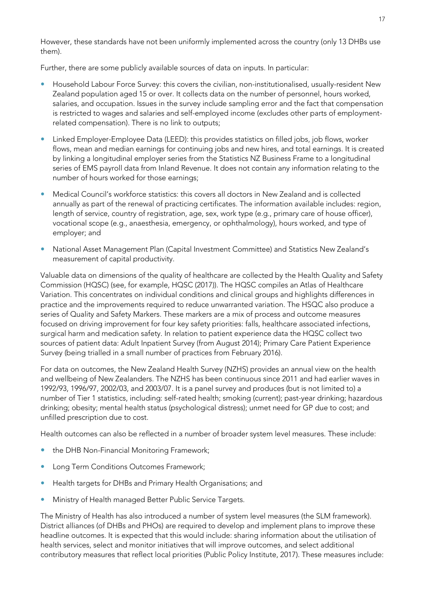However, these standards have not been uniformly implemented across the country (only 13 DHBs use them).

Further, there are some publicly available sources of data on inputs. In particular:

- Household Labour Force Survey: this covers the civilian, non-institutionalised, usually-resident New Zealand population aged 15 or over. It collects data on the number of personnel, hours worked, salaries, and occupation. Issues in the survey include sampling error and the fact that compensation is restricted to wages and salaries and self-employed income (excludes other parts of employmentrelated compensation). There is no link to outputs;
- Linked Employer-Employee Data (LEED): this provides statistics on filled jobs, job flows, worker flows, mean and median earnings for continuing jobs and new hires, and total earnings. It is created by linking a longitudinal employer series from the Statistics NZ Business Frame to a longitudinal series of EMS payroll data from Inland Revenue. It does not contain any information relating to the number of hours worked for those earnings;
- Medical Council's workforce statistics: this covers all doctors in New Zealand and is collected annually as part of the renewal of practicing certificates. The information available includes: region, length of service, country of registration, age, sex, work type (e.g., primary care of house officer), vocational scope (e.g., anaesthesia, emergency, or ophthalmology), hours worked, and type of employer; and
- National Asset Management Plan (Capital Investment Committee) and Statistics New Zealand's measurement of capital productivity.

Valuable data on dimensions of the quality of healthcare are collected by the Health Quality and Safety Commission (HQSC) (see, for example, HQSC (2017)). The HQSC compiles an Atlas of Healthcare Variation. This concentrates on individual conditions and clinical groups and highlights differences in practice and the improvements required to reduce unwarranted variation. The HSQC also produce a series of Quality and Safety Markers. These markers are a mix of process and outcome measures focused on driving improvement for four key safety priorities: falls, healthcare associated infections, surgical harm and medication safety. In relation to patient experience data the HQSC collect two sources of patient data: Adult Inpatient Survey (from August 2014); Primary Care Patient Experience Survey (being trialled in a small number of practices from February 2016).

For data on outcomes, the New Zealand Health Survey (NZHS) provides an annual view on the health and wellbeing of New Zealanders. The NZHS has been continuous since 2011 and had earlier waves in 1992/93, 1996/97, 2002/03, and 2003/07. It is a panel survey and produces (but is not limited to) a number of Tier 1 statistics, including: self-rated health; smoking (current); past-year drinking; hazardous drinking; obesity; mental health status (psychological distress); unmet need for GP due to cost; and unfilled prescription due to cost.

Health outcomes can also be reflected in a number of broader system level measures. These include:

- the DHB Non-Financial Monitoring Framework;
- **•** Long Term Conditions Outcomes Framework;
- **•** Health targets for DHBs and Primary Health Organisations; and
- **Ministry of Health managed Better Public Service Targets.**

The Ministry of Health has also introduced a number of system level measures (the SLM framework). District alliances (of DHBs and PHOs) are required to develop and implement plans to improve these headline outcomes. It is expected that this would include: sharing information about the utilisation of health services, select and monitor initiatives that will improve outcomes, and select additional contributory measures that reflect local priorities (Public Policy Institute, 2017). These measures include: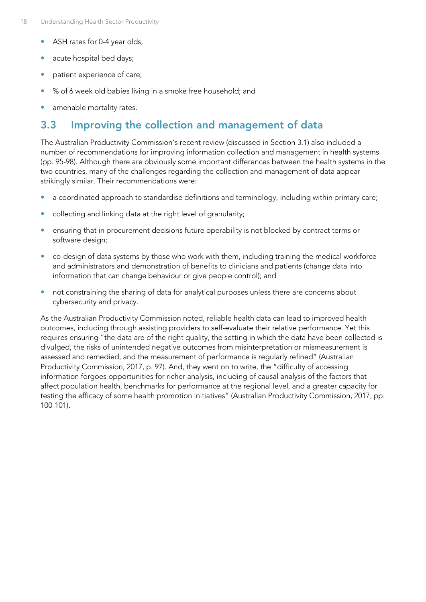- ASH rates for 0-4 year olds;
- acute hospital bed days;
- patient experience of care;
- % of 6 week old babies living in a smoke free household; and
- amenable mortality rates.

### <span id="page-21-0"></span>**3.3 Improving the collection and management of data**

The Australian Productivity Commission's recent review (discussed in Section [3.1\)](#page-16-1) also included a number of recommendations for improving information collection and management in health systems (pp. 95-98). Although there are obviously some important differences between the health systems in the two countries, many of the challenges regarding the collection and management of data appear strikingly similar. Their recommendations were:

- a coordinated approach to standardise definitions and terminology, including within primary care;
- **•** collecting and linking data at the right level of granularity;
- ensuring that in procurement decisions future operability is not blocked by contract terms or software design;
- co-design of data systems by those who work with them, including training the medical workforce and administrators and demonstration of benefits to clinicians and patients (change data into information that can change behaviour or give people control); and
- not constraining the sharing of data for analytical purposes unless there are concerns about cybersecurity and privacy.

As the Australian Productivity Commission noted, reliable health data can lead to improved health outcomes, including through assisting providers to self-evaluate their relative performance. Yet this requires ensuring "the data are of the right quality, the setting in which the data have been collected is divulged, the risks of unintended negative outcomes from misinterpretation or mismeasurement is assessed and remedied, and the measurement of performance is regularly refined" (Australian Productivity Commission, 2017, p. 97). And, they went on to write, the "difficulty of accessing information forgoes opportunities for richer analysis, including of causal analysis of the factors that affect population health, benchmarks for performance at the regional level, and a greater capacity for testing the efficacy of some health promotion initiatives" (Australian Productivity Commission, 2017, pp. 100-101).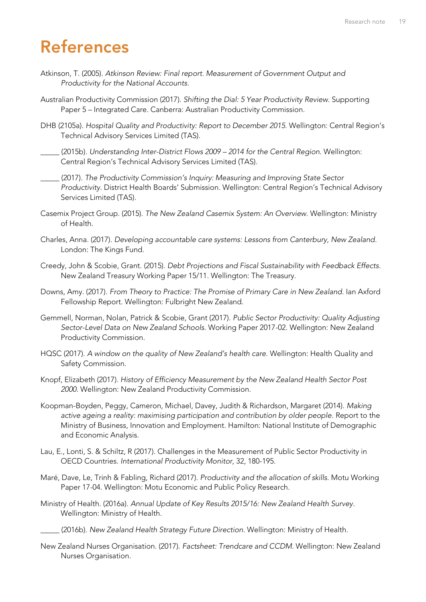# <span id="page-22-0"></span>**References**

- Atkinson, T. (2005). *Atkinson Review: Final report. Measurement of Government Output and Productivity for the National Accounts.*
- Australian Productivity Commission (2017). *Shifting the Dial: 5 Year Productivity Review*. Supporting Paper 5 – Integrated Care. Canberra: Australian Productivity Commission.
- DHB (2105a). *Hospital Quality and Productivity: Report to December 2015*. Wellington: Central Region's Technical Advisory Services Limited (TAS).
- \_\_\_\_\_ (2015b). *Understanding Inter-District Flows 2009 – 2014 for the Central Region*. Wellington: Central Region's Technical Advisory Services Limited (TAS).
- \_\_\_\_\_ (2017). *The Productivity Commission's Inquiry: Measuring and Improving State Sector Productivity*. District Health Boards' Submission. Wellington: Central Region's Technical Advisory Services Limited (TAS).
- Casemix Project Group. (2015). *The New Zealand Casemix System: An Overview*. Wellington: Ministry of Health.
- Charles, Anna. (2017). *Developing accountable care systems: Lessons from Canterbury, New Zealand*. London: The Kings Fund.
- Creedy, John & Scobie, Grant. (2015). *Debt Projections and Fiscal Sustainability with Feedback Effects*. New Zealand Treasury Working Paper 15/11. Wellington: The Treasury.
- Downs, Amy. (2017). *From Theory to Practice: The Promise of Primary Care in New Zealand*. Ian Axford Fellowship Report. Wellington: Fulbright New Zealand.
- Gemmell, Norman, Nolan, Patrick & Scobie, Grant (2017). *Public Sector Productivity: Quality Adjusting Sector-Level Data on New Zealand Schools*. Working Paper 2017-02. Wellington: New Zealand Productivity Commission.
- HQSC (2017). *A window on the quality of New Zealand's health care*. Wellington: Health Quality and Safety Commission.
- Knopf, Elizabeth (2017). *History of Efficiency Measurement by the New Zealand Health Sector Post 2000*. Wellington: New Zealand Productivity Commission.
- Koopman-Boyden, Peggy, Cameron, Michael, Davey, Judith & Richardson, Margaret (2014). *Making active ageing a reality: maximising participation and contribution by older people*. Report to the Ministry of Business, Innovation and Employment. Hamilton: National Institute of Demographic and Economic Analysis.
- Lau, E., Lonti, S. & Schiltz, R (2017). Challenges in the Measurement of Public Sector Productivity in OECD Countries. *International Productivity Monitor*, 32, 180-195.
- Maré, Dave, Le, Trinh & Fabling, Richard (2017). *Productivity and the allocation of skills*. Motu Working Paper 17-04. Wellington: Motu Economic and Public Policy Research.
- Ministry of Health. (2016a). *Annual Update of Key Results 2015/16: New Zealand Health Survey*. Wellington: Ministry of Health.
	- \_\_\_\_\_ (2016b). *New Zealand Health Strategy Future Direction*. Wellington: Ministry of Health.
- New Zealand Nurses Organisation. (2017). *Factsheet: Trendcare and CCDM*. Wellington: New Zealand Nurses Organisation.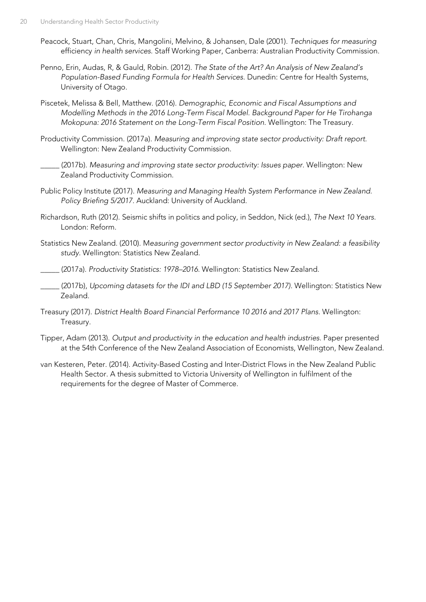- Peacock, Stuart, Chan, Chris, Mangolini, Melvino, & Johansen, Dale (2001). *Techniques for measuring*  efficiency *in health services*. Staff Working Paper, Canberra: Australian Productivity Commission.
- Penno, Erin, Audas, R, & Gauld, Robin. (2012). *The State of the Art? An Analysis of New Zealand's Population-Based Funding Formula for Health Services.* Dunedin: Centre for Health Systems, University of Otago.
- Piscetek, Melissa & Bell, Matthew. (2016). *Demographic, Economic and Fiscal Assumptions and Modelling Methods in the 2016 Long-Term Fiscal Model. Background Paper for He Tirohanga Mokopuna: 2016 Statement on the Long-Term Fiscal Position*. Wellington: The Treasury.
- Productivity Commission. (2017a). *Measuring and improving state sector productivity: Draft report.*  Wellington: New Zealand Productivity Commission.
- \_\_\_\_\_ (2017b). *Measuring and improving state sector productivity: Issues paper*. Wellington: New Zealand Productivity Commission.
- Public Policy Institute (2017). *Measuring and Managing Health System Performance in New Zealand. Policy Briefing 5/2017*. Auckland: University of Auckland.
- Richardson, Ruth (2012). Seismic shifts in politics and policy, in Seddon, Nick (ed.), *The Next 10 Years*. London: Reform.
- Statistics New Zealand. (2010). M*easuring government sector productivity in New Zealand: a feasibility study*. Wellington: Statistics New Zealand.

\_\_\_\_\_ (2017a). *Productivity Statistics: 1978–2016*. Wellington: Statistics New Zealand.

\_\_\_\_\_ (2017b), *Upcoming datasets for the IDI and LBD (15 September 2017)*. Wellington: Statistics New Zealand.

- Treasury (2017). *District Health Board Financial Performance 10 2016 and 2017 Plans*. Wellington: Treasury.
- Tipper, Adam (2013). *Output and productivity in the education and health industries*. Paper presented at the 54th Conference of the New Zealand Association of Economists, Wellington, New Zealand.
- van Kesteren, Peter. (2014). Activity-Based Costing and Inter-District Flows in the New Zealand Public Health Sector. A thesis submitted to Victoria University of Wellington in fulfilment of the requirements for the degree of Master of Commerce.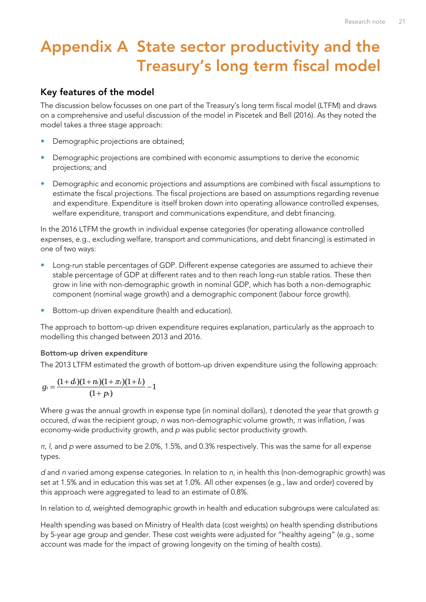# <span id="page-24-0"></span>**Appendix A State sector productivity and the Treasury's long term fiscal model**

### **Key features of the model**

The discussion below focusses on one part of the Treasury's long term fiscal model (LTFM) and draws on a comprehensive and useful discussion of the model in Piscetek and Bell (2016). As they noted the model takes a three stage approach:

- **•** Demographic projections are obtained;
- **•** Demographic projections are combined with economic assumptions to derive the economic projections; and
- **•** Demographic and economic projections and assumptions are combined with fiscal assumptions to estimate the fiscal projections. The fiscal projections are based on assumptions regarding revenue and expenditure. Expenditure is itself broken down into operating allowance controlled expenses, welfare expenditure, transport and communications expenditure, and debt financing.

In the 2016 LTFM the growth in individual expense categories (for operating allowance controlled expenses, e.g., excluding welfare, transport and communications, and debt financing) is estimated in one of two ways:

- Long-run stable percentages of GDP. Different expense categories are assumed to achieve their stable percentage of GDP at different rates and to then reach long-run stable ratios. These then grow in line with non-demographic growth in nominal GDP, which has both a non-demographic component (nominal wage growth) and a demographic component (labour force growth).
- Bottom-up driven expenditure (health and education).

The approach to bottom-up driven expenditure requires explanation, particularly as the approach to modelling this changed between 2013 and 2016.

#### **Bottom-up driven expenditure**

The 2013 LTFM estimated the growth of bottom-up driven expenditure using the following approach:

$$
g_t = \frac{(1+d_t)(1+n_t)(1+\pi_t)(1+l_t)}{(1+p_t)} - 1
$$

Where *g* was the annual growth in expense type (in nominal dollars), *t* denoted the year that growth *g*  occured, *d* was the recipient group, *n* was non-demographic volume growth, *π* was inflation, *l* was economy-wide productivity growth, and *p* was public sector productivity growth.

*π*, *l*, and *p* were assumed to be 2.0%, 1.5%, and 0.3% respectively. This was the same for all expense types.

*d* and *n* varied among expense categories. In relation to *n*, in health this (non-demographic growth) was set at 1.5% and in education this was set at 1.0%. All other expenses (e.g., law and order) covered by this approach were aggregated to lead to an estimate of 0.8%.

In relation to *d*, weighted demographic growth in health and education subgroups were calculated as:

Health spending was based on Ministry of Health data (cost weights) on health spending distributions by 5-year age group and gender. These cost weights were adjusted for "healthy ageing" (e.g., some account was made for the impact of growing longevity on the timing of health costs).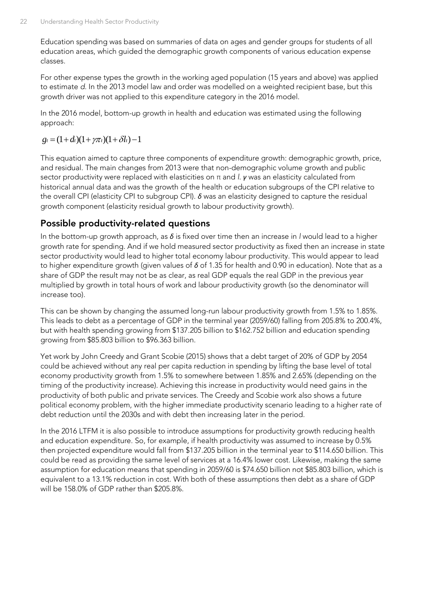Education spending was based on summaries of data on ages and gender groups for students of all education areas, which guided the demographic growth components of various education expense classes.

For other expense types the growth in the working aged population (15 years and above) was applied to estimate *d*. In the 2013 model law and order was modelled on a weighted recipient base, but this growth driver was not applied to this expenditure category in the 2016 model.

In the 2016 model, bottom-up growth in health and education was estimated using the following approach:

$$
g_t = (1 + d_t)(1 + \gamma \pi_t)(1 + \delta l_t) - 1
$$

This equation aimed to capture three components of expenditure growth: demographic growth, price, and residual. The main changes from 2013 were that non-demographic volume growth and public sector productivity were replaced with elasticities on π and *l*. *γ* was an elasticity calculated from historical annual data and was the growth of the health or education subgroups of the CPI relative to the overall CPI (elasticity CPI to subgroup CPI). *δ* was an elasticity designed to capture the residual growth component (elasticity residual growth to labour productivity growth).

### **Possible productivity-related questions**

In the bottom-up growth approach, as *δ* is fixed over time then an increase in *l* would lead to a higher growth rate for spending. And if we hold measured sector productivity as fixed then an increase in state sector productivity would lead to higher total economy labour productivity. This would appear to lead to higher expenditure growth (given values of *δ* of 1.35 for health and 0.90 in education). Note that as a share of GDP the result may not be as clear, as real GDP equals the real GDP in the previous year multiplied by growth in total hours of work and labour productivity growth (so the denominator will increase too).

This can be shown by changing the assumed long-run labour productivity growth from 1.5% to 1.85%. This leads to debt as a percentage of GDP in the terminal year (2059/60) falling from 205.8% to 200.4%, but with health spending growing from \$137.205 billion to \$162.752 billion and education spending growing from \$85.803 billion to \$96.363 billion.

Yet work by John Creedy and Grant Scobie (2015) shows that a debt target of 20% of GDP by 2054 could be achieved without any real per capita reduction in spending by lifting the base level of total economy productivity growth from 1.5% to somewhere between 1.85% and 2.65% (depending on the timing of the productivity increase). Achieving this increase in productivity would need gains in the productivity of both public and private services. The Creedy and Scobie work also shows a future political economy problem, with the higher immediate productivity scenario leading to a higher rate of debt reduction until the 2030s and with debt then increasing later in the period.

In the 2016 LTFM it is also possible to introduce assumptions for productivity growth reducing health and education expenditure. So, for example, if health productivity was assumed to increase by 0.5% then projected expenditure would fall from \$137.205 billion in the terminal year to \$114.650 billion. This could be read as providing the same level of services at a 16.4% lower cost. Likewise, making the same assumption for education means that spending in 2059/60 is \$74.650 billion not \$85.803 billion, which is equivalent to a 13.1% reduction in cost. With both of these assumptions then debt as a share of GDP will be 158.0% of GDP rather than \$205.8%.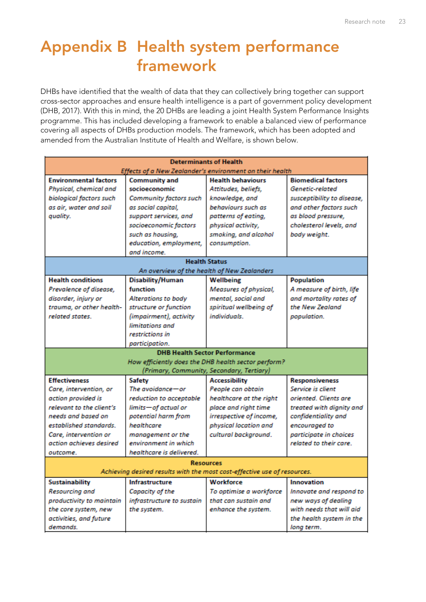# <span id="page-26-0"></span>**Appendix B Health system performance framework**

DHBs have identified that the wealth of data that they can collectively bring together can support cross-sector approaches and ensure health intelligence is a part of government policy development (DHB, 2017). With this in mind, the 20 DHBs are leading a joint Health System Performance Insights programme. This has included developing a framework to enable a balanced view of performance covering all aspects of DHBs production models. The framework, which has been adopted and amended from the Australian Institute of Health and Welfare, is shown below.

| <b>Determinants of Health</b>                                            |                           |                                             |                            |  |  |
|--------------------------------------------------------------------------|---------------------------|---------------------------------------------|----------------------------|--|--|
| Effects of a New Zealander's environment on their health                 |                           |                                             |                            |  |  |
| <b>Environmental factors</b>                                             | <b>Community and</b>      | <b>Health behaviours</b>                    | <b>Biomedical factors</b>  |  |  |
| Physical, chemical and                                                   | socioeconomic             | Attitudes, beliefs,                         | <b>Genetic-related</b>     |  |  |
| biological factors such                                                  | Community factors such    | knowledge, and                              | susceptibility to disease, |  |  |
| as air, water and soil                                                   | as social capital,        | behaviours such as                          | and other factors such     |  |  |
| quality.                                                                 | support services, and     | patterns of eating,                         | as blood pressure,         |  |  |
|                                                                          | socioeconomic factors     | physical activity,                          | cholesterol levels, and    |  |  |
|                                                                          | such as housing,          | smoking, and alcohol                        | body weight.               |  |  |
|                                                                          | education, employment,    | consumption.                                |                            |  |  |
|                                                                          | and income.               |                                             |                            |  |  |
|                                                                          |                           | <b>Health Status</b>                        |                            |  |  |
|                                                                          |                           | An overview of the health of New Zealanders |                            |  |  |
| <b>Health conditions</b>                                                 | Disability/Human          | Wellbeing                                   | <b>Population</b>          |  |  |
| Prevalence of disease,                                                   | function                  | <b>Measures of physical,</b>                | A measure of birth, life   |  |  |
| disorder, injury or                                                      | Alterations to body       | mental, social and                          | and mortality rates of     |  |  |
| trauma, or other health-                                                 | structure or function     | spiritual wellbeing of                      | the New Zealand            |  |  |
| related states.                                                          | (impairment), activity    | individuals                                 | population.                |  |  |
|                                                                          | limitations and           |                                             |                            |  |  |
|                                                                          | restrictions in           |                                             |                            |  |  |
| participation.                                                           |                           |                                             |                            |  |  |
| <b>DHB Health Sector Performance</b>                                     |                           |                                             |                            |  |  |
| How efficiently does the DHB health sector perform?                      |                           |                                             |                            |  |  |
| (Primary, Community, Secondary, Tertiary)                                |                           |                                             |                            |  |  |
| <b>Effectiveness</b>                                                     | Safety                    | <b>Accessibility</b>                        | <b>Responsiveness</b>      |  |  |
| Care, intervention, or                                                   | The avoidance-or          | People can obtain                           | Service is client          |  |  |
| action provided is                                                       | reduction to acceptable   | healthcare at the right                     | oriented, Clients are      |  |  |
| relevant to the client's                                                 | limits-of actual or       | place and right time                        | treated with dignity and   |  |  |
| needs and based on                                                       | potential harm from       | irrespective of income,                     | confidentiality and        |  |  |
| established standards.                                                   | healthcare                | physical location and                       | encouraged to              |  |  |
| Care, intervention or                                                    | management or the         | cultural background.                        | participate in choices     |  |  |
| action achieves desired                                                  | environment in which      |                                             | related to their care.     |  |  |
| outcome.                                                                 | healthcare is delivered.  |                                             |                            |  |  |
| <b>Resources</b>                                                         |                           |                                             |                            |  |  |
| Achieving desired results with the most cost-effective use of resources. |                           |                                             |                            |  |  |
| <b>Sustainability</b>                                                    | Infrastructure            | Workforce                                   | <b>Innovation</b>          |  |  |
| Resourcing and                                                           | Capacity of the           | To optimise a workforce                     | Innovate and respond to    |  |  |
| productivity to maintain                                                 | infrastructure to sustain | that can sustain and                        | new ways of dealing        |  |  |
| the core system, new                                                     | the system.               | enhance the system.                         | with needs that will aid   |  |  |
|                                                                          |                           |                                             |                            |  |  |
| activities, and future                                                   |                           |                                             | the health system in the   |  |  |